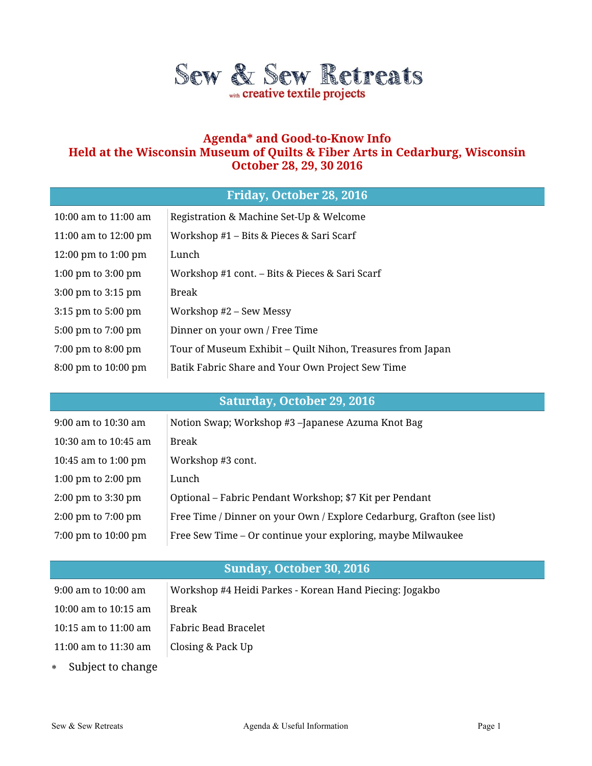

## **Agenda\* and Good-to-Know Info Held at the Wisconsin Museum of Quilts & Fiber Arts in Cedarburg, Wisconsin October 28, 29, 30 2016**

## **Friday, October 28, 2016**

| 10:00 am to 11:00 am                   | Registration & Machine Set-Up & Welcome                    |
|----------------------------------------|------------------------------------------------------------|
| 11:00 am to 12:00 pm                   | Workshop #1 – Bits & Pieces & Sari Scarf                   |
| 12:00 pm to $1:00$ pm                  | Lunch                                                      |
| $1:00 \text{ pm}$ to $3:00 \text{ pm}$ | Workshop #1 cont. - Bits & Pieces & Sari Scarf             |
| 3:00 pm to 3:15 pm                     | Break                                                      |
| $3:15$ pm to $5:00$ pm                 | Workshop #2 – Sew Messy                                    |
| 5:00 pm to 7:00 pm                     | Dinner on your own / Free Time                             |
| 7:00 pm to 8:00 pm                     | Tour of Museum Exhibit – Quilt Nihon, Treasures from Japan |
| 8:00 pm to 10:00 pm                    | Batik Fabric Share and Your Own Project Sew Time           |

# **Saturday, October 29, 2016**

| 9:00 am to 10:30 am                    | Notion Swap; Workshop #3 -Japanese Azuma Knot Bag                      |
|----------------------------------------|------------------------------------------------------------------------|
| 10:30 am to 10:45 am                   | Break                                                                  |
| 10:45 am to 1:00 pm                    | Workshop #3 cont.                                                      |
| 1:00 pm to 2:00 pm                     | Lunch                                                                  |
| $2:00 \text{ pm}$ to $3:30 \text{ pm}$ | Optional – Fabric Pendant Workshop; \$7 Kit per Pendant                |
| $2:00 \text{ pm}$ to $7:00 \text{ pm}$ | Free Time / Dinner on your Own / Explore Cedarburg, Grafton (see list) |
| 7:00 pm to 10:00 pm                    | Free Sew Time – Or continue your exploring, maybe Milwaukee            |

# **Sunday, October 30, 2016**

| $9:00$ am to $10:00$ am | Workshop #4 Heidi Parkes - Korean Hand Piecing: Jogakbo |
|-------------------------|---------------------------------------------------------|
| 10:00 am to $10:15$ am  | Break                                                   |
| 10:15 am to $11:00$ am  | Fabric Bead Bracelet                                    |
| 11:00 am to 11:30 am    | Closing & Pack Up                                       |
| * Cubicot to change     |                                                         |

Subject to change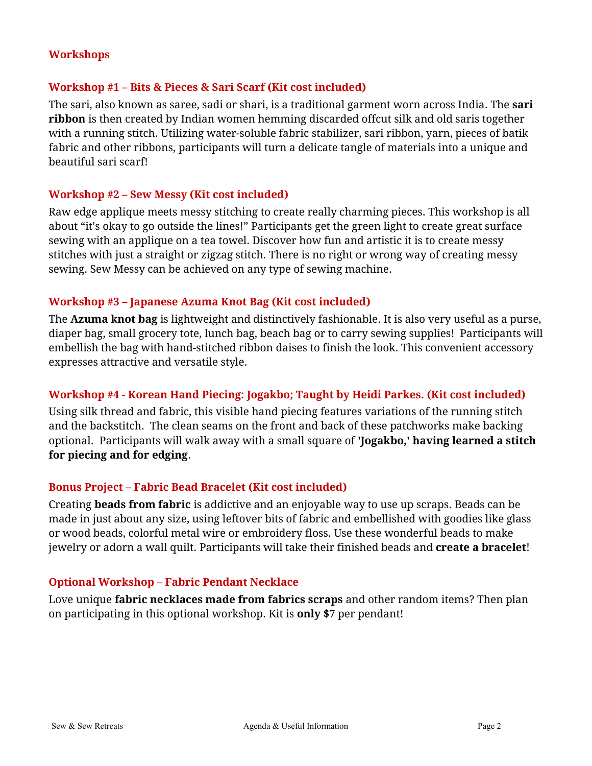#### **Workshops**

#### **Workshop #1 – Bits & Pieces & Sari Scarf (Kit cost included)**

The sari, also known as saree, sadi or shari, is a traditional garment worn across India. The **sari ribbon** is then created by Indian women hemming discarded offcut silk and old saris together with a running stitch. Utilizing water-soluble fabric stabilizer, sari ribbon, yarn, pieces of batik fabric and other ribbons, participants will turn a delicate tangle of materials into a unique and beautiful sari scarf!

#### **Workshop #2 – Sew Messy (Kit cost included)**

Raw edge applique meets messy stitching to create really charming pieces. This workshop is all about "it's okay to go outside the lines!" Participants get the green light to create great surface sewing with an applique on a tea towel. Discover how fun and artistic it is to create messy stitches with just a straight or zigzag stitch. There is no right or wrong way of creating messy sewing. Sew Messy can be achieved on any type of sewing machine.

#### **Workshop #3 – Japanese Azuma Knot Bag (Kit cost included)**

The **Azuma knot bag** is lightweight and distinctively fashionable. It is also very useful as a purse, diaper bag, small grocery tote, lunch bag, beach bag or to carry sewing supplies! Participants will embellish the bag with hand-stitched ribbon daises to finish the look. This convenient accessory expresses attractive and versatile style.

#### **Workshop #4 - Korean Hand Piecing: Jogakbo; Taught by Heidi Parkes. (Kit cost included)**

Using silk thread and fabric, this visible hand piecing features variations of the running stitch and the backstitch. The clean seams on the front and back of these patchworks make backing optional. Participants will walk away with a small square of **'Jogakbo,' having learned a stitch for piecing and for edging**.

#### **Bonus Project – Fabric Bead Bracelet (Kit cost included)**

Creating **beads from fabric** is addictive and an enjoyable way to use up scraps. Beads can be made in just about any size, using leftover bits of fabric and embellished with goodies like glass or wood beads, colorful metal wire or embroidery floss. Use these wonderful beads to make jewelry or adorn a wall quilt. Participants will take their finished beads and **create a bracelet**!

#### **Optional Workshop – Fabric Pendant Necklace**

Love unique **fabric necklaces made from fabrics scraps** and other random items? Then plan on participating in this optional workshop. Kit is **only \$7** per pendant!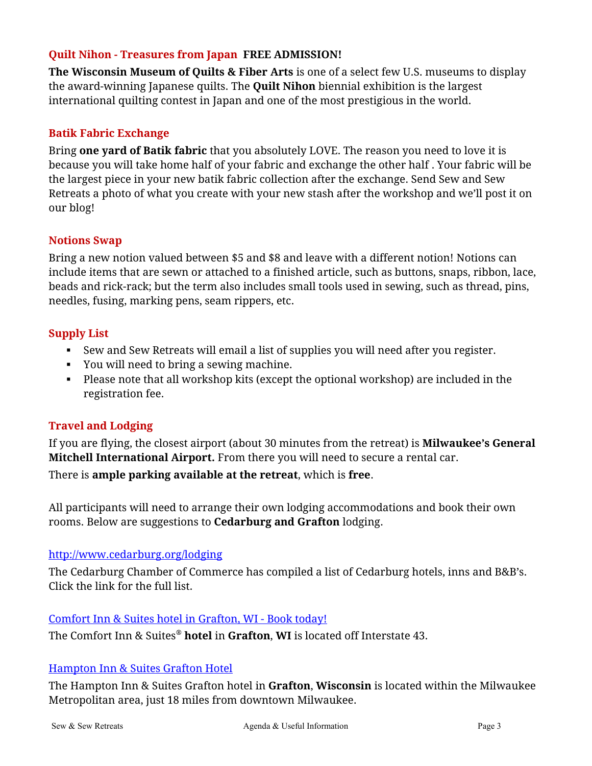## **Quilt Nihon - Treasures from Japan FREE ADMISSION!**

**The Wisconsin Museum of Quilts & Fiber Arts** is one of a select few U.S. museums to display the award-winning Japanese quilts. The **Quilt Nihon** biennial exhibition is the largest international quilting contest in Japan and one of the most prestigious in the world.

## **Batik Fabric Exchange**

Bring **one yard of Batik fabric** that you absolutely LOVE. The reason you need to love it is because you will take home half of your fabric and exchange the other half . Your fabric will be the largest piece in your new batik fabric collection after the exchange. Send Sew and Sew Retreats a photo of what you create with your new stash after the workshop and we'll post it on our blog!

#### **Notions Swap**

Bring a new notion valued between \$5 and \$8 and leave with a different notion! Notions can include items that are sewn or attached to a finished article, such as buttons, snaps, ribbon, lace, beads and rick-rack; but the term also includes small tools used in sewing, such as thread, pins, needles, fusing, marking pens, seam rippers, etc.

#### **Supply List**

- Sew and Sew Retreats will email a list of supplies you will need after you register.
- You will need to bring a sewing machine.
- Please note that all workshop kits (except the optional workshop) are included in the registration fee.

## **Travel and Lodging**

If you are flying, the closest airport (about 30 minutes from the retreat) is **Milwaukee's General Mitchell International Airport.** From there you will need to secure a rental car.

There is **ample parking available at the retreat**, which is **free**.

All participants will need to arrange their own lodging accommodations and book their own rooms. Below are suggestions to **Cedarburg and Grafton** lodging.

#### <http://www.cedarburg.org/lodging>

The Cedarburg Chamber of Commerce has compiled a list of Cedarburg hotels, inns and B&B's. Click the link for the full list.

#### [Comfort Inn & Suites hotel in Grafton, WI -](https://www.choicehotels.com/wisconsin/grafton/comfort-inn-hotels/wi260) Book today!

The Comfort Inn & Suites® **hotel** in **Grafton**, **WI** is located off Interstate 43.

#### [Hampton Inn & Suites Grafton Hotel](http://hamptoninn3.hilton.com/en/hotels/wisconsin/hampton-inn-and-suites-grafton-MKEGFHX/index.html)

The Hampton Inn & Suites Grafton hotel in **Grafton**, **Wisconsin** is located within the Milwaukee Metropolitan area, just 18 miles from downtown Milwaukee.